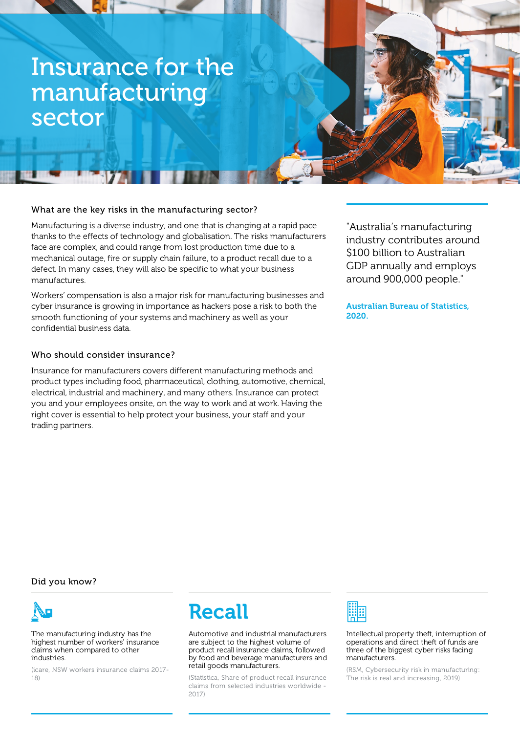# Insurance for the manufacturing sector

## What are the key risks in the manufacturing sector?

Manufacturing is a diverse industry, and one that is changing at a rapid pace thanks to the effects of technology and globalisation. The risks manufacturers face are complex, and could range from lost production time due to a mechanical outage, fire or supply chain failure, to a product recall due to a defect. In many cases, they will also be specific to what your business manufactures.

Workers' compensation is also a major risk for manufacturing businesses and cyber insurance is growing in importance as hackers pose a risk to both the smooth functioning of your systems and machinery as well as your confidential business data.

#### Who should consider insurance?

Insurance for manufacturers covers different manufacturing methods and product types including food, pharmaceutical, clothing, automotive, chemical, electrical, industrial and machinery, and many others. Insurance can protect you and your employees onsite, on the way to work and at work. Having the right cover is essential to help protect your business, your staff and your trading partners.

"Australia's manufacturing industry contributes around \$100 billion to Australian GDP annually and employs around 900,000 people."

Australian Bureau of Statistics, 2020.

Did you know?



The manufacturing industry has the highest number of workers' insurance claims when compared to other industries.

(icare, NSW workers insurance claims 2017- 18)



Automotive and industrial manufacturers are subject to the highest volume of product recall insurance claims, followed by food and beverage manufacturers and retail goods manufacturers.

(Statistica, Share of product recall insurance claims from selected industries worldwide - 2017)



Intellectual property theft, interruption of operations and direct theft of funds are three of the biggest cyber risks facing manufacturers.

(RSM, Cybersecurity risk in manufacturing: The risk is real and increasing, 2019)